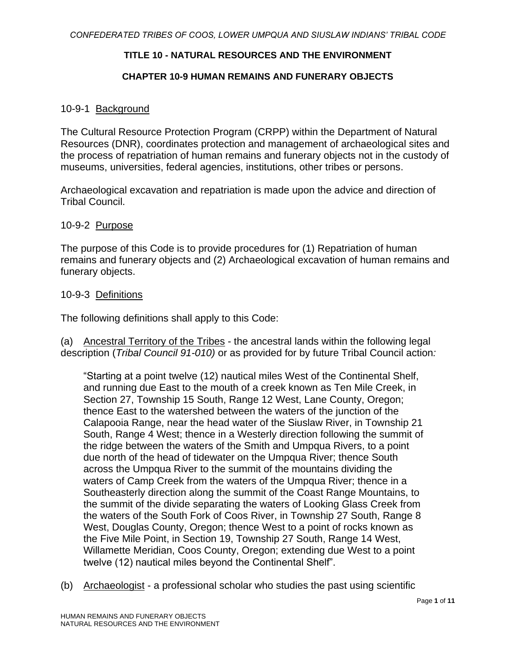# **TITLE 10 - NATURAL RESOURCES AND THE ENVIRONMENT**

## **CHAPTER 10-9 HUMAN REMAINS AND FUNERARY OBJECTS**

## 10-9-1 Background

The Cultural Resource Protection Program (CRPP) within the Department of Natural Resources (DNR), coordinates protection and management of archaeological sites and the process of repatriation of human remains and funerary objects not in the custody of museums, universities, federal agencies, institutions, other tribes or persons.

Archaeological excavation and repatriation is made upon the advice and direction of Tribal Council.

#### 10-9-2 Purpose

The purpose of this Code is to provide procedures for (1) Repatriation of human remains and funerary objects and (2) Archaeological excavation of human remains and funerary objects.

## 10-9-3 Definitions

The following definitions shall apply to this Code:

(a) Ancestral Territory of the Tribes - the ancestral lands within the following legal description (*Tribal Council 91-010)* or as provided for by future Tribal Council action*:*

"Starting at a point twelve (12) nautical miles West of the Continental Shelf, and running due East to the mouth of a creek known as Ten Mile Creek, in Section 27, Township 15 South, Range 12 West, Lane County, Oregon; thence East to the watershed between the waters of the junction of the Calapooia Range, near the head water of the Siuslaw River, in Township 21 South, Range 4 West; thence in a Westerly direction following the summit of the ridge between the waters of the Smith and Umpqua Rivers, to a point due north of the head of tidewater on the Umpqua River; thence South across the Umpqua River to the summit of the mountains dividing the waters of Camp Creek from the waters of the Umpqua River; thence in a Southeasterly direction along the summit of the Coast Range Mountains, to the summit of the divide separating the waters of Looking Glass Creek from the waters of the South Fork of Coos River, in Township 27 South, Range 8 West, Douglas County, Oregon; thence West to a point of rocks known as the Five Mile Point, in Section 19, Township 27 South, Range 14 West, Willamette Meridian, Coos County, Oregon; extending due West to a point twelve (12) nautical miles beyond the Continental Shelf".

(b) Archaeologist - a professional scholar who studies the past using scientific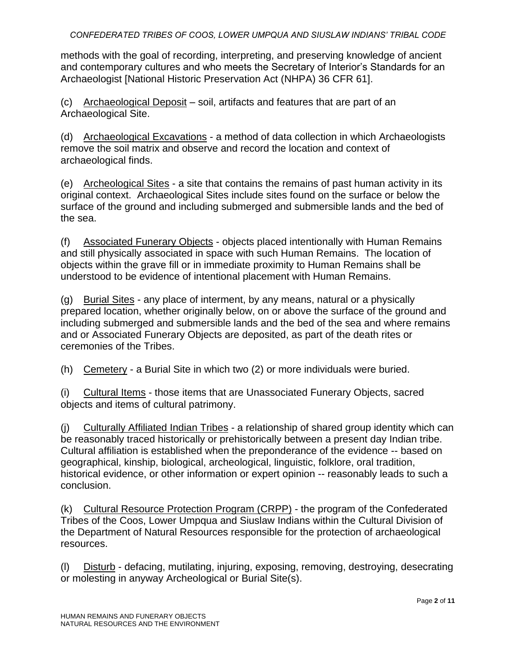methods with the goal of recording, interpreting, and preserving knowledge of ancient and contemporary cultures and who meets the Secretary of Interior's Standards for an Archaeologist [National Historic Preservation Act (NHPA) 36 CFR 61].

(c) Archaeological Deposit – soil, artifacts and features that are part of an Archaeological Site.

(d) Archaeological Excavations - a method of data collection in which Archaeologists remove the soil matrix and observe and record the location and context of archaeological finds.

(e) Archeological Sites - a site that contains the remains of past human activity in its original context. Archaeological Sites include sites found on the surface or below the surface of the ground and including submerged and submersible lands and the bed of the sea.

(f) Associated Funerary Objects - objects placed intentionally with Human Remains and still physically associated in space with such Human Remains. The location of objects within the grave fill or in immediate proximity to Human Remains shall be understood to be evidence of intentional placement with Human Remains.

(g) Burial Sites - any place of interment, by any means, natural or a physically prepared location, whether originally below, on or above the surface of the ground and including submerged and submersible lands and the bed of the sea and where remains and or Associated Funerary Objects are deposited, as part of the death rites or ceremonies of the Tribes.

(h) Cemetery - a Burial Site in which two (2) or more individuals were buried.

(i) Cultural Items - those items that are Unassociated Funerary Objects, sacred objects and items of cultural patrimony.

(j) Culturally Affiliated Indian Tribes - a relationship of shared group identity which can be reasonably traced historically or prehistorically between a present day Indian tribe. Cultural affiliation is established when the preponderance of the evidence -- based on geographical, kinship, biological, archeological, linguistic, folklore, oral tradition, historical evidence, or other information or expert opinion -- reasonably leads to such a conclusion.

(k) Cultural Resource Protection Program (CRPP) - the program of the Confederated Tribes of the Coos, Lower Umpqua and Siuslaw Indians within the Cultural Division of the Department of Natural Resources responsible for the protection of archaeological resources.

(l) Disturb - defacing, mutilating, injuring, exposing, removing, destroying, desecrating or molesting in anyway Archeological or Burial Site(s).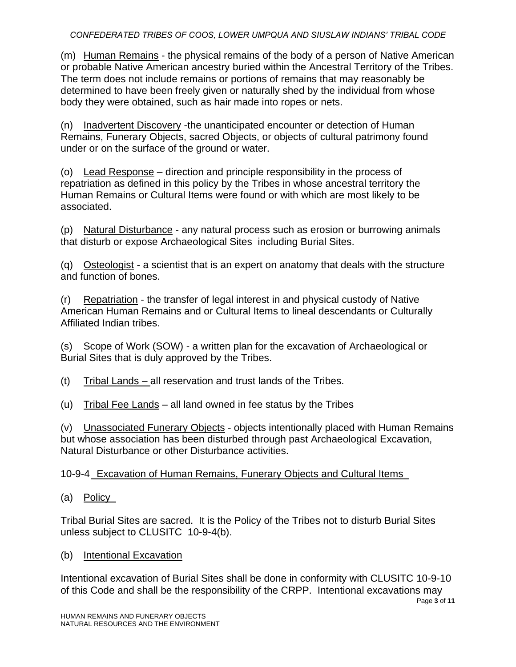(m) Human Remains - the physical remains of the body of a person of Native American or probable Native American ancestry buried within the Ancestral Territory of the Tribes. The term does not include remains or portions of remains that may reasonably be determined to have been freely given or naturally shed by the individual from whose body they were obtained, such as hair made into ropes or nets.

(n) Inadvertent Discovery -the unanticipated encounter or detection of Human Remains, Funerary Objects, sacred Objects, or objects of cultural patrimony found under or on the surface of the ground or water.

(o) Lead Response – direction and principle responsibility in the process of repatriation as defined in this policy by the Tribes in whose ancestral territory the Human Remains or Cultural Items were found or with which are most likely to be associated.

(p) Natural Disturbance - any natural process such as erosion or burrowing animals that disturb or expose Archaeological Sites including Burial Sites.

(q) Osteologist - a scientist that is an expert on anatomy that deals with the structure and function of bones.

(r) Repatriation - the transfer of legal interest in and physical custody of Native American Human Remains and or Cultural Items to lineal descendants or Culturally Affiliated Indian tribes.

(s) Scope of Work (SOW) - a written plan for the excavation of Archaeological or Burial Sites that is duly approved by the Tribes.

(t) Tribal Lands – all reservation and trust lands of the Tribes.

(u) Tribal Fee Lands – all land owned in fee status by the Tribes

(v) Unassociated Funerary Objects - objects intentionally placed with Human Remains but whose association has been disturbed through past Archaeological Excavation, Natural Disturbance or other Disturbance activities.

10-9-4 Excavation of Human Remains, Funerary Objects and Cultural Items

(a) Policy

Tribal Burial Sites are sacred. It is the Policy of the Tribes not to disturb Burial Sites unless subject to CLUSITC 10-9-4(b).

(b) Intentional Excavation

Intentional excavation of Burial Sites shall be done in conformity with CLUSITC 10-9-10 of this Code and shall be the responsibility of the CRPP. Intentional excavations may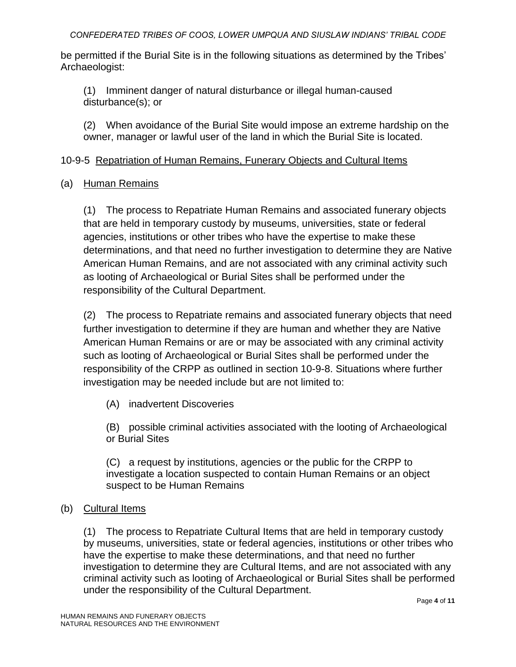be permitted if the Burial Site is in the following situations as determined by the Tribes' Archaeologist:

(1) Imminent danger of natural disturbance or illegal human-caused disturbance(s); or

(2) When avoidance of the Burial Site would impose an extreme hardship on the owner, manager or lawful user of the land in which the Burial Site is located.

# 10-9-5 Repatriation of Human Remains, Funerary Objects and Cultural Items

## (a) Human Remains

(1) The process to Repatriate Human Remains and associated funerary objects that are held in temporary custody by museums, universities, state or federal agencies, institutions or other tribes who have the expertise to make these determinations, and that need no further investigation to determine they are Native American Human Remains, and are not associated with any criminal activity such as looting of Archaeological or Burial Sites shall be performed under the responsibility of the Cultural Department.

(2) The process to Repatriate remains and associated funerary objects that need further investigation to determine if they are human and whether they are Native American Human Remains or are or may be associated with any criminal activity such as looting of Archaeological or Burial Sites shall be performed under the responsibility of the CRPP as outlined in section 10-9-8. Situations where further investigation may be needed include but are not limited to:

(A) inadvertent Discoveries

(B) possible criminal activities associated with the looting of Archaeological or Burial Sites

(C) a request by institutions, agencies or the public for the CRPP to investigate a location suspected to contain Human Remains or an object suspect to be Human Remains

# (b) Cultural Items

(1) The process to Repatriate Cultural Items that are held in temporary custody by museums, universities, state or federal agencies, institutions or other tribes who have the expertise to make these determinations, and that need no further investigation to determine they are Cultural Items, and are not associated with any criminal activity such as looting of Archaeological or Burial Sites shall be performed under the responsibility of the Cultural Department.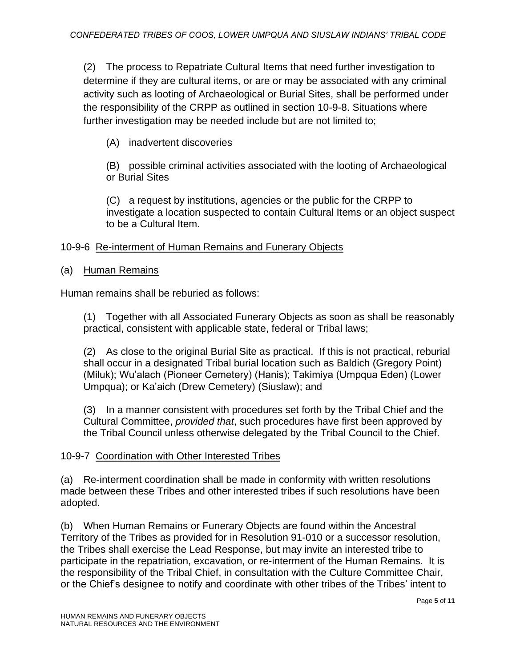(2) The process to Repatriate Cultural Items that need further investigation to determine if they are cultural items, or are or may be associated with any criminal activity such as looting of Archaeological or Burial Sites, shall be performed under the responsibility of the CRPP as outlined in section 10-9-8. Situations where further investigation may be needed include but are not limited to;

(A) inadvertent discoveries

(B) possible criminal activities associated with the looting of Archaeological or Burial Sites

(C) a request by institutions, agencies or the public for the CRPP to investigate a location suspected to contain Cultural Items or an object suspect to be a Cultural Item.

# 10-9-6 Re-interment of Human Remains and Funerary Objects

# (a) Human Remains

Human remains shall be reburied as follows:

(1) Together with all Associated Funerary Objects as soon as shall be reasonably practical, consistent with applicable state, federal or Tribal laws;

(2) As close to the original Burial Site as practical. If this is not practical, reburial shall occur in a designated Tribal burial location such as Baldich (Gregory Point) (Miluk); Wu'alach (Pioneer Cemetery) (Hanis); Takimiya (Umpqua Eden) (Lower Umpqua); or Ka'aich (Drew Cemetery) (Siuslaw); and

(3) In a manner consistent with procedures set forth by the Tribal Chief and the Cultural Committee, *provided that*, such procedures have first been approved by the Tribal Council unless otherwise delegated by the Tribal Council to the Chief.

# 10-9-7 Coordination with Other Interested Tribes

(a) Re-interment coordination shall be made in conformity with written resolutions made between these Tribes and other interested tribes if such resolutions have been adopted.

(b) When Human Remains or Funerary Objects are found within the Ancestral Territory of the Tribes as provided for in Resolution 91-010 or a successor resolution, the Tribes shall exercise the Lead Response, but may invite an interested tribe to participate in the repatriation, excavation, or re-interment of the Human Remains. It is the responsibility of the Tribal Chief, in consultation with the Culture Committee Chair, or the Chief's designee to notify and coordinate with other tribes of the Tribes' intent to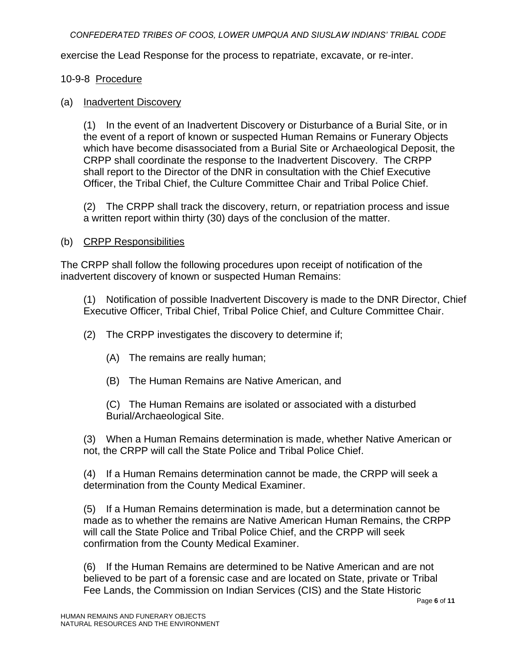exercise the Lead Response for the process to repatriate, excavate, or re-inter.

## 10-9-8 Procedure

#### (a) Inadvertent Discovery

(1) In the event of an Inadvertent Discovery or Disturbance of a Burial Site, or in the event of a report of known or suspected Human Remains or Funerary Objects which have become disassociated from a Burial Site or Archaeological Deposit, the CRPP shall coordinate the response to the Inadvertent Discovery. The CRPP shall report to the Director of the DNR in consultation with the Chief Executive Officer, the Tribal Chief, the Culture Committee Chair and Tribal Police Chief.

(2) The CRPP shall track the discovery, return, or repatriation process and issue a written report within thirty (30) days of the conclusion of the matter.

## (b) CRPP Responsibilities

The CRPP shall follow the following procedures upon receipt of notification of the inadvertent discovery of known or suspected Human Remains:

(1) Notification of possible Inadvertent Discovery is made to the DNR Director, Chief Executive Officer, Tribal Chief, Tribal Police Chief, and Culture Committee Chair.

(2) The CRPP investigates the discovery to determine if;

- (A) The remains are really human;
- (B) The Human Remains are Native American, and

(C) The Human Remains are isolated or associated with a disturbed Burial/Archaeological Site.

(3) When a Human Remains determination is made, whether Native American or not, the CRPP will call the State Police and Tribal Police Chief.

(4) If a Human Remains determination cannot be made, the CRPP will seek a determination from the County Medical Examiner.

(5) If a Human Remains determination is made, but a determination cannot be made as to whether the remains are Native American Human Remains, the CRPP will call the State Police and Tribal Police Chief, and the CRPP will seek confirmation from the County Medical Examiner.

(6) If the Human Remains are determined to be Native American and are not believed to be part of a forensic case and are located on State, private or Tribal Fee Lands, the Commission on Indian Services (CIS) and the State Historic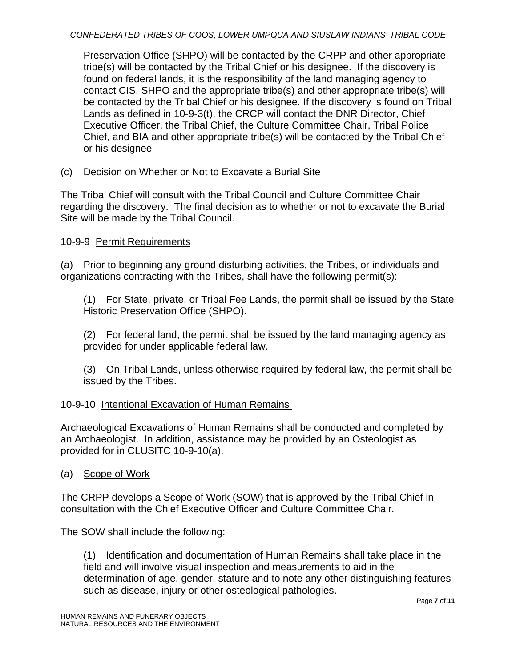Preservation Office (SHPO) will be contacted by the CRPP and other appropriate tribe(s) will be contacted by the Tribal Chief or his designee. If the discovery is found on federal lands, it is the responsibility of the land managing agency to contact CIS, SHPO and the appropriate tribe(s) and other appropriate tribe(s) will be contacted by the Tribal Chief or his designee. If the discovery is found on Tribal Lands as defined in 10-9-3(t), the CRCP will contact the DNR Director, Chief Executive Officer, the Tribal Chief, the Culture Committee Chair, Tribal Police Chief, and BIA and other appropriate tribe(s) will be contacted by the Tribal Chief or his designee

# (c) Decision on Whether or Not to Excavate a Burial Site

The Tribal Chief will consult with the Tribal Council and Culture Committee Chair regarding the discovery. The final decision as to whether or not to excavate the Burial Site will be made by the Tribal Council.

# 10-9-9 Permit Requirements

(a) Prior to beginning any ground disturbing activities, the Tribes, or individuals and organizations contracting with the Tribes, shall have the following permit(s):

(1) For State, private, or Tribal Fee Lands, the permit shall be issued by the State Historic Preservation Office (SHPO).

(2) For federal land, the permit shall be issued by the land managing agency as provided for under applicable federal law.

(3) On Tribal Lands, unless otherwise required by federal law, the permit shall be issued by the Tribes.

# 10-9-10 Intentional Excavation of Human Remains

Archaeological Excavations of Human Remains shall be conducted and completed by an Archaeologist. In addition, assistance may be provided by an Osteologist as provided for in CLUSITC 10-9-10(a).

# (a) Scope of Work

The CRPP develops a Scope of Work (SOW) that is approved by the Tribal Chief in consultation with the Chief Executive Officer and Culture Committee Chair.

The SOW shall include the following:

(1) Identification and documentation of Human Remains shall take place in the field and will involve visual inspection and measurements to aid in the determination of age, gender, stature and to note any other distinguishing features such as disease, injury or other osteological pathologies.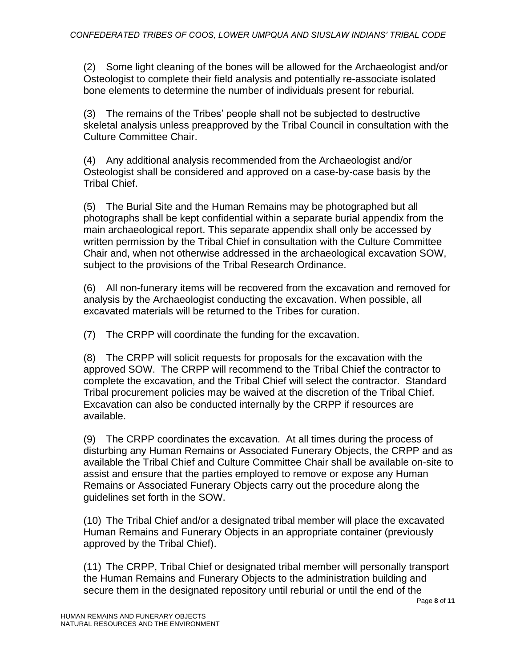(2) Some light cleaning of the bones will be allowed for the Archaeologist and/or Osteologist to complete their field analysis and potentially re-associate isolated bone elements to determine the number of individuals present for reburial.

(3) The remains of the Tribes' people shall not be subjected to destructive skeletal analysis unless preapproved by the Tribal Council in consultation with the Culture Committee Chair.

(4) Any additional analysis recommended from the Archaeologist and/or Osteologist shall be considered and approved on a case-by-case basis by the Tribal Chief.

(5) The Burial Site and the Human Remains may be photographed but all photographs shall be kept confidential within a separate burial appendix from the main archaeological report. This separate appendix shall only be accessed by written permission by the Tribal Chief in consultation with the Culture Committee Chair and, when not otherwise addressed in the archaeological excavation SOW, subject to the provisions of the Tribal Research Ordinance.

(6) All non-funerary items will be recovered from the excavation and removed for analysis by the Archaeologist conducting the excavation. When possible, all excavated materials will be returned to the Tribes for curation.

(7) The CRPP will coordinate the funding for the excavation.

(8) The CRPP will solicit requests for proposals for the excavation with the approved SOW. The CRPP will recommend to the Tribal Chief the contractor to complete the excavation, and the Tribal Chief will select the contractor. Standard Tribal procurement policies may be waived at the discretion of the Tribal Chief. Excavation can also be conducted internally by the CRPP if resources are available.

(9) The CRPP coordinates the excavation. At all times during the process of disturbing any Human Remains or Associated Funerary Objects, the CRPP and as available the Tribal Chief and Culture Committee Chair shall be available on-site to assist and ensure that the parties employed to remove or expose any Human Remains or Associated Funerary Objects carry out the procedure along the guidelines set forth in the SOW.

(10) The Tribal Chief and/or a designated tribal member will place the excavated Human Remains and Funerary Objects in an appropriate container (previously approved by the Tribal Chief).

(11) The CRPP, Tribal Chief or designated tribal member will personally transport the Human Remains and Funerary Objects to the administration building and secure them in the designated repository until reburial or until the end of the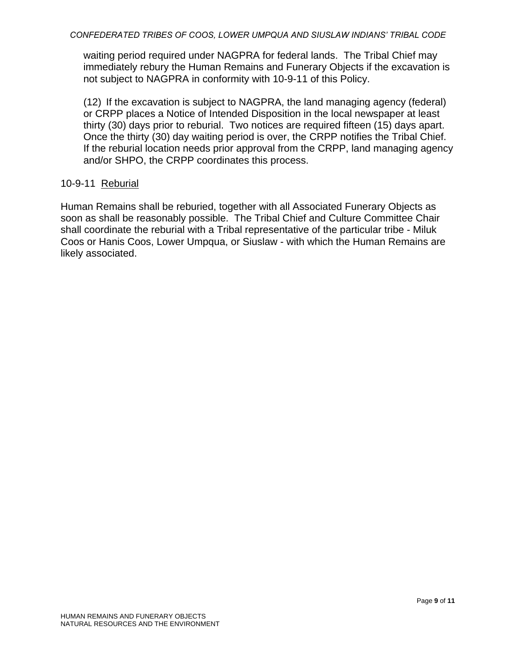waiting period required under NAGPRA for federal lands. The Tribal Chief may immediately rebury the Human Remains and Funerary Objects if the excavation is not subject to NAGPRA in conformity with 10-9-11 of this Policy.

(12) If the excavation is subject to NAGPRA, the land managing agency (federal) or CRPP places a Notice of Intended Disposition in the local newspaper at least thirty (30) days prior to reburial. Two notices are required fifteen (15) days apart. Once the thirty (30) day waiting period is over, the CRPP notifies the Tribal Chief. If the reburial location needs prior approval from the CRPP, land managing agency and/or SHPO, the CRPP coordinates this process.

## 10-9-11 Reburial

Human Remains shall be reburied, together with all Associated Funerary Objects as soon as shall be reasonably possible. The Tribal Chief and Culture Committee Chair shall coordinate the reburial with a Tribal representative of the particular tribe - Miluk Coos or Hanis Coos, Lower Umpqua, or Siuslaw - with which the Human Remains are likely associated.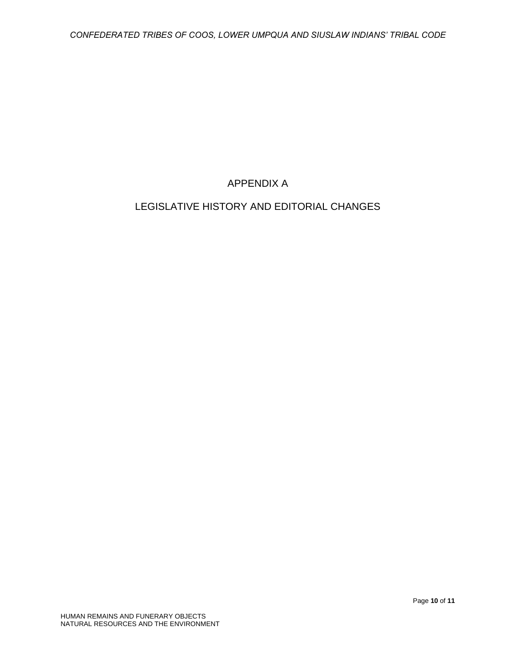# APPENDIX A

# LEGISLATIVE HISTORY AND EDITORIAL CHANGES